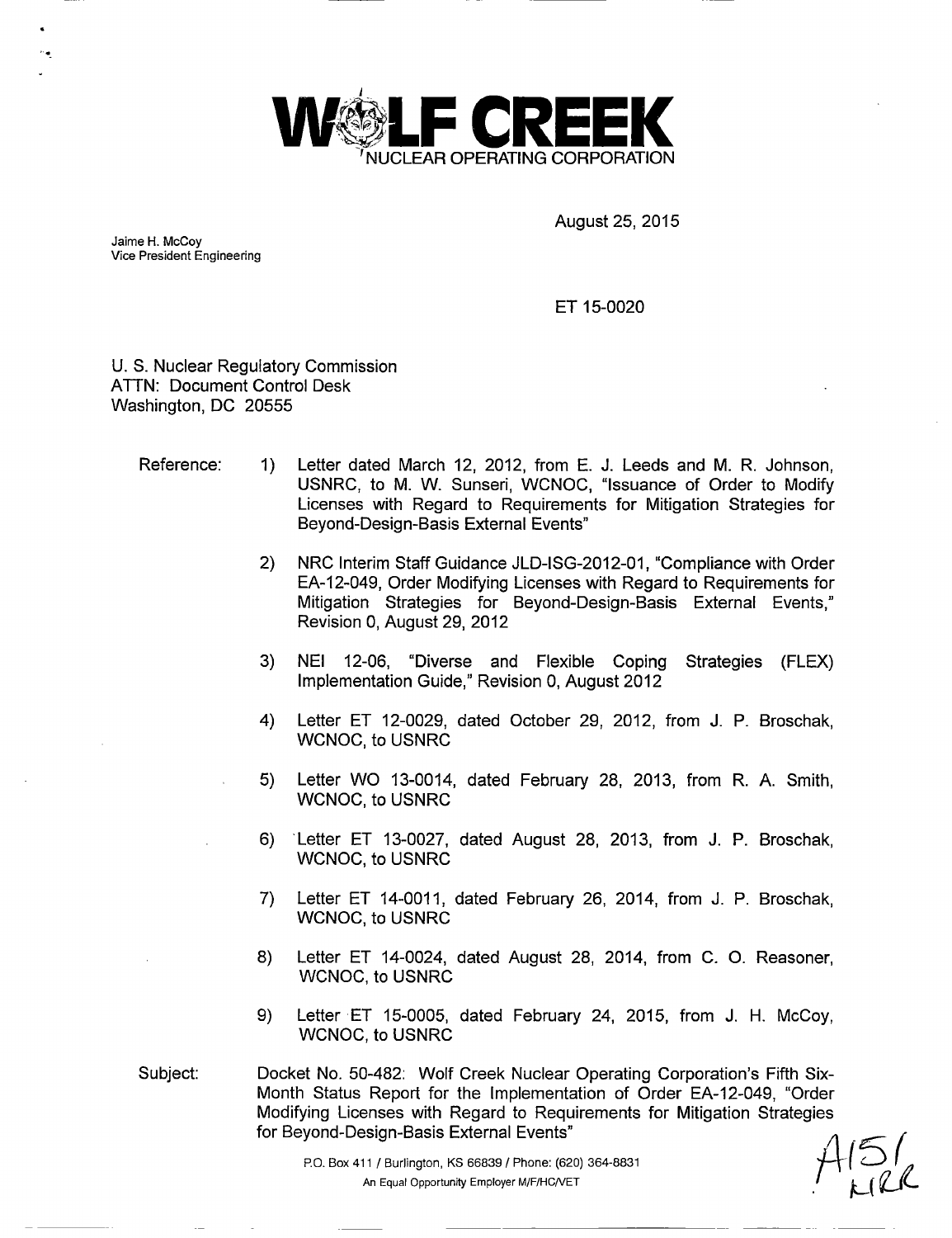

August 25, 2015

Jaime H. McCoy Vice President Engineering

ET 15-0020

U. S. Nuclear Regulatory Commission ATTN: Document Control Desk Washington, DC 20555

- Reference: 1) Letter dated March 12, 2012, from E. J. Leeds and M. R. Johnson,<br>USNRC, to M. W. Sunseri, WCNOC, "Issuance of Order to Modify Licenses with Regard to Requirements for Mitigation Strategies for Beyond-Design-Basis External Events"
	- 2) NRC Interim Staff Guidance JLD-ISG-2012-01, "Compliance with Order EA-12-049, Order Modifying Licenses with Regard to Requirements for Mitigation Strategies for Beyond-Design-Basis External Events," Revision 0, August 29, 2012
	- 3) NEI 12-06, "Diverse and Flexible Coping Strategies (FLEX)<br>Implementation Guide," Revision 0, August 2012
	- 4) Letter ET 12-0029, dated October 29, 2012, from J. P. Broschak<br>MCNOC to USNRC
	- 5) Letter WO 13-0014, dated February 28, 2013, from R. A. Smith, WCNOC, to USNRC
	- 6) Letter ET 13-0027, dated August 28, 2013, from J. P. Broschak, WCNOC, to USNRC
	- 7) Letter ET 14-0011, dated February 26, 2014, from J. P. Broschak, WCNOC, to USNRC
	- 8) Letter ET 14-0024, dated August 28, 2014, from C. 0. Reasoner, WCNOC, to USNRC
	- 9) Letter .ET 15-0005, dated February 24, 2015, from J. H. McCoy, WCNOC, to USNRC
- Subject: Docket No. 50-482: Wolf Creek Nuclear Operating Corporation's Fifth Six-Month Status Report for the Implementation of Order EA-12-049, "Order Modifying Licenses with Regard to Requirements for Mitigation Strategies for Beyond-Design-Basis External Events"

P.O. Box 411 / Burlington, KS 66839 / Phone: (620) 364-8831 An Equal Opportunity Employer M/F/HC/VET/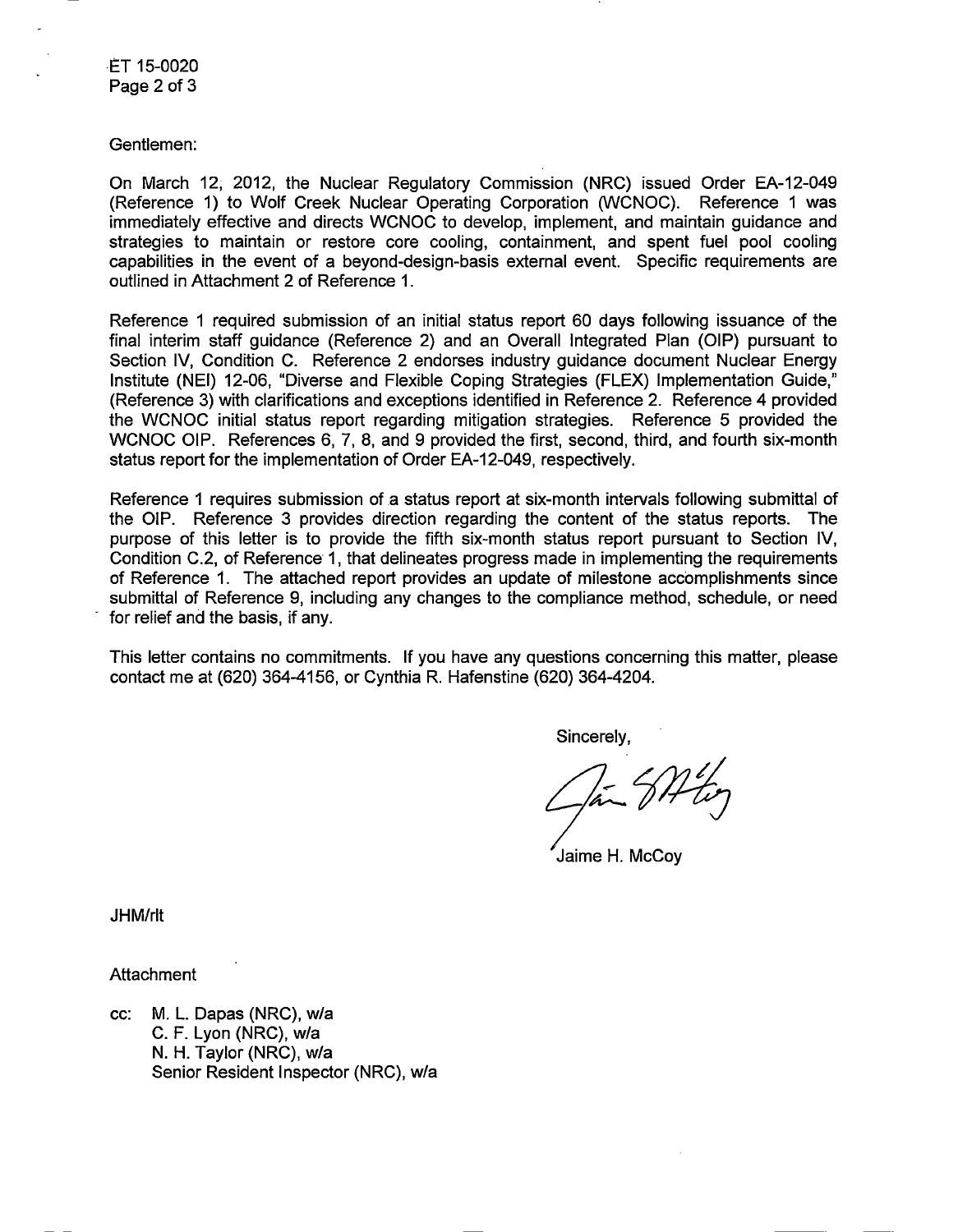ET 15-0020 Page 2 of 3

Gentlemen:

On March 12, 2012, the Nuclear Regulatory Commission (NRC) issued Order EA-12-049 (Reference 1) to Wolf Creek Nuclear Operating Corporation (WCNOC). Reference 1 was immediately effective and directs WCNOC to develop, implement, and maintain guidance and strategies to maintain or restore core cooling, containment, and spent fuel pool cooling capabilities in the event of a beyond-design-basis external event. Specific requirements are outlined in Attachment 2 of Reference 1.

Reference 1 required submission of an initial status report 60 days following issuance of the final interim staff guidance (Reference 2) and an Overall Integrated Plan (OIP) pursuant to Section IV, Condition C. Reference 2 endorses industry guidance document Nuclear Energy Institute (NEI) 12-06, "Diverse and Flexible Coping Strategies (FLEX) Implementation Guide," (Reference 3) with clarifications and exceptions identified in Reference 2. Reference 4 provided the WCNOC initial status report regarding mitigation strategies. Reference 5 provided the WCNOC OIP. References 6, 7, 8, and 9 provided the first, second, third, and fourth six-month status report for the implementation of Order EA-12-049, respectively.

Reference 1 requires submission of a status report at six-month intervals following submittal of the OIP. Reference 3 provides direction regarding the content of the status reports. The purpose of this letter is to provide the fifth six-month status report pursuant to Section IV, Condition C.2, of Reference 1, that delineates progress made in implementing the requirements of Reference 1. The attached report provides an update of milestone accomplishments since submittal of Reference 9, including any changes to the compliance method, schedule, or need for relief and the basis, if any.

This letter contains no commitments. If you have any questions concerning this matter, please contact me at (620) 364-4156, or Cynthia R. Hafenstine (620) 364-4204.

Sincerely,

 $\int \vec{a}$ 

Jaime H. McCoy

JHM/rlt

**Attachment** 

cc: M. L. Dapas (NRC), w/a C. F. Lyon (NRC), w/a N. H. Taylor (NRC), w/a Senior Resident Inspector (NRC), w/a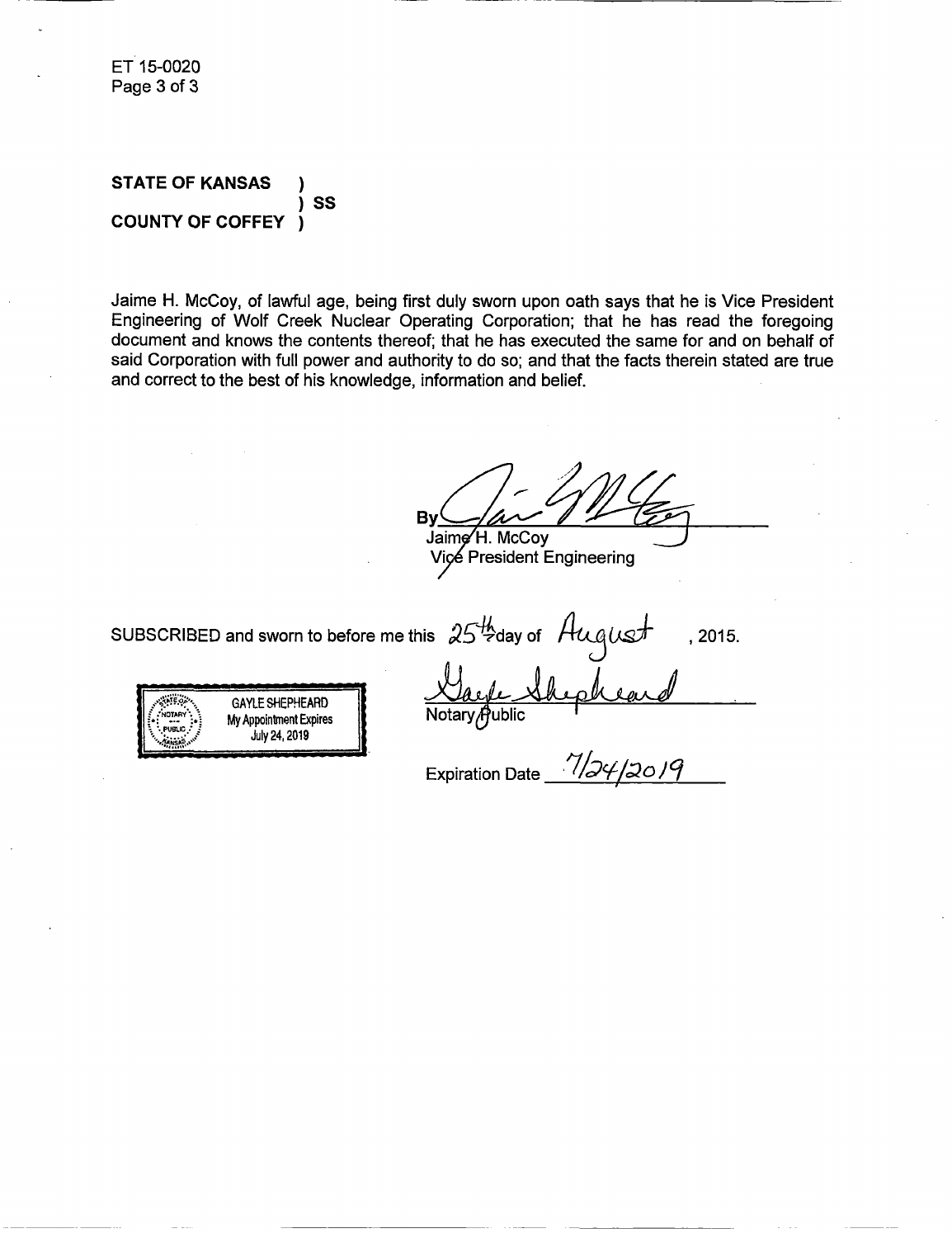ET 15-0020 Page 3of 3

#### **STATE OF KANSAS** ) ) S **COUNTY OF COFFEY** )

Jaime H. McCoy, of lawful age, being first duly sworn upon oath says that he is Vice President Engineering of Wolf Creek Nuclear Operating Corporation; that he has read the foregoing document and knows the contents thereof; that he has executed the same for and on behalf of said Corporation with full power and authority to do so; and that the facts therein stated are true and correct to the best of his knowledge, information and belief.

**ByZ** Bv Jaime H. McCoy<br>Vice President Engineering

SUBSCRIBED and sworn to before me this  $25\frac{\mu}{2}$ day of  $\mu$ uqust ,2015.

**NOAY** M ponmn x ire Notary( uli PUBLIC -July 24, 2019

Expiration Date 1/24/2019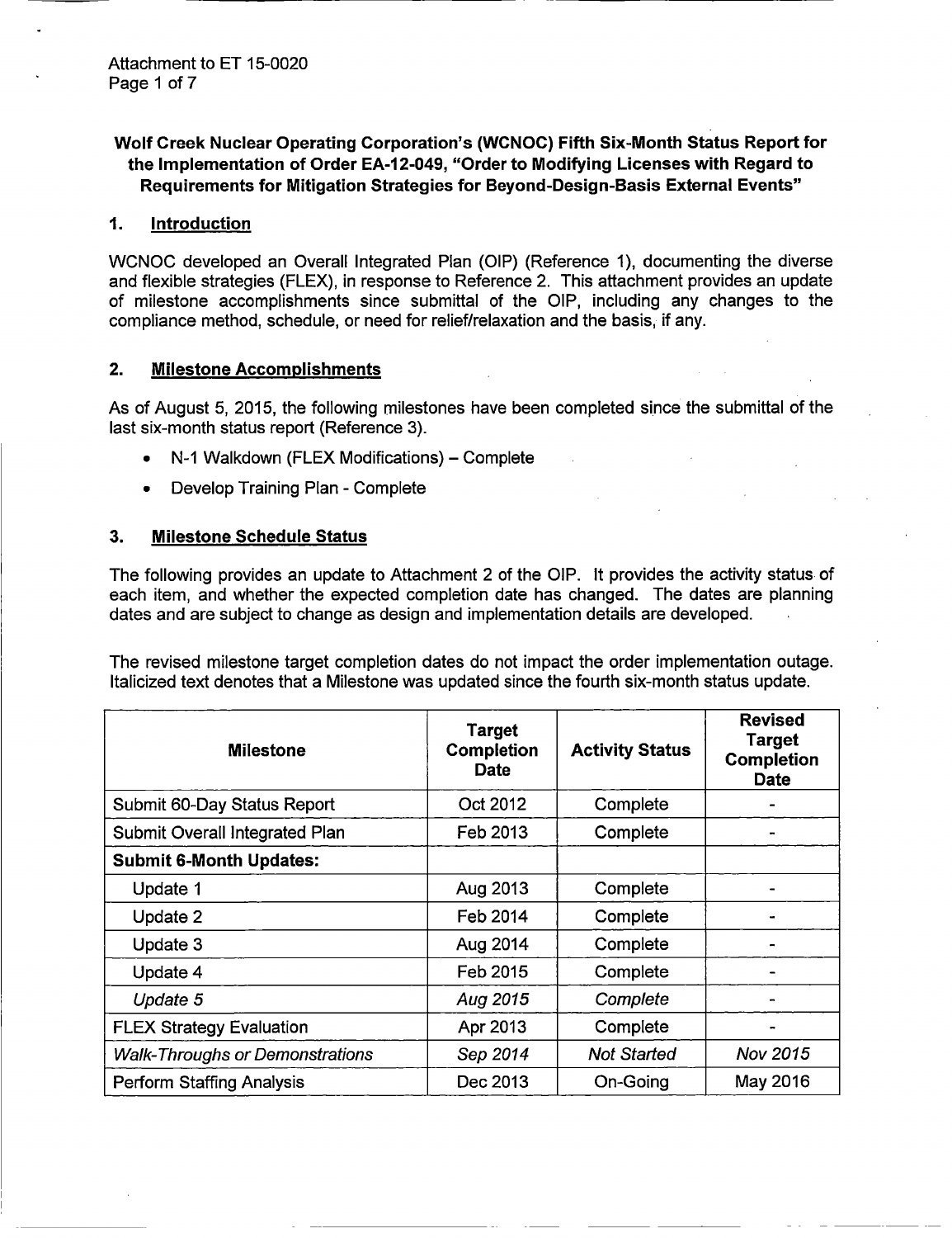# Wolf Creek Nuclear Operating Corporation's (WCNOC) Fifth Six-Month **Status Report for the Implementation of Order EA-12-049, "Order to Modifying Licenses with Regard to Requirements for Mitigation Strategies for Beyond-Design-Basis External Events"**

#### *1.* **Introduction**

WCNOC developed an Overall Integrated Plan (QIP) (Reference 1), documenting the diverse and flexible strategies (FLEX), in response to Reference 2. This attachment provides an update of milestone accomplishments since submittal of the QIP, including any changes to the compliance method, schedule, or need for relief/relaxation and the basis, if any.

## **2. Milestone Accomplishments**

As of **August** 5, 2015, the following milestones have been completed since the submittal of the last six-month status report (Reference 3).

- N-1 Walkdown (FLEX Modifications) Complete
- Develop Training Plan Complete

## **3. Milestone Schedule Status**

The following provides an update to Attachment 2 of the QIP. It provides the activity status of each item, and whether the expected completion date has changed. The dates are planning dates and are subject to change as design and implementation details are developed.

The revised milestone target completion dates do not impact the order implementation outage. Italicized text denotes that a Milestone was updated since the fourth six-month status update.

| <b>Milestone</b>                       | <b>Target</b><br>Completion<br><b>Date</b> | <b>Activity Status</b> | <b>Revised</b><br><b>Target</b><br><b>Completion</b><br><b>Date</b> |
|----------------------------------------|--------------------------------------------|------------------------|---------------------------------------------------------------------|
| Submit 60-Day Status Report            | Oct 2012                                   | Complete               |                                                                     |
| Submit Overall Integrated Plan         | Feb 2013                                   | Complete               |                                                                     |
| <b>Submit 6-Month Updates:</b>         |                                            |                        |                                                                     |
| Update 1                               | Aug 2013                                   | Complete               |                                                                     |
| Update 2                               | Feb 2014                                   | Complete               |                                                                     |
| Update 3                               | Aug 2014                                   | Complete               |                                                                     |
| Update 4                               | Feb 2015                                   | Complete               |                                                                     |
| Update 5                               | Aug 2015                                   | Complete               |                                                                     |
| <b>FLEX Strategy Evaluation</b>        | Apr 2013                                   | Complete               |                                                                     |
| <b>Walk-Throughs or Demonstrations</b> | Sep 2014                                   | <b>Not Started</b>     | Nov 2015                                                            |
| <b>Perform Staffing Analysis</b>       | Dec 2013                                   | On-Going               | May 2016                                                            |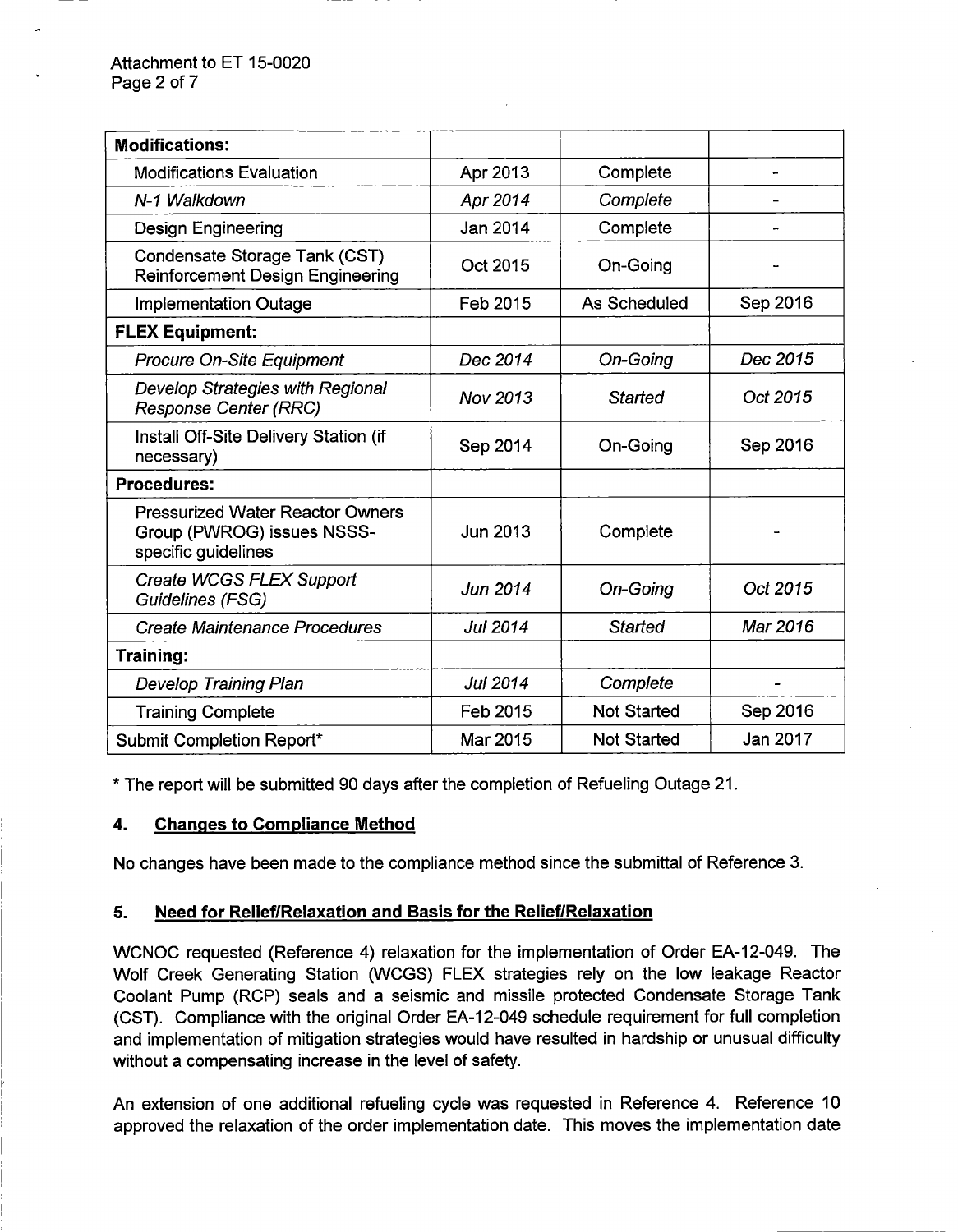| <b>Modifications:</b>                                                                        |                 |                    |          |
|----------------------------------------------------------------------------------------------|-----------------|--------------------|----------|
| <b>Modifications Evaluation</b>                                                              | Apr 2013        | Complete           |          |
| N-1 Walkdown                                                                                 | Apr 2014        | Complete           |          |
| <b>Design Engineering</b>                                                                    | Jan 2014        | Complete           |          |
| Condensate Storage Tank (CST)<br><b>Reinforcement Design Engineering</b>                     | Oct 2015        | On-Going           |          |
| <b>Implementation Outage</b>                                                                 | Feb 2015        | As Scheduled       | Sep 2016 |
| <b>FLEX Equipment:</b>                                                                       |                 |                    |          |
| Procure On-Site Equipment                                                                    | Dec 2014        | On-Going           | Dec 2015 |
| <b>Develop Strategies with Regional</b><br><b>Response Center (RRC)</b>                      | Nov 2013        | <b>Started</b>     | Oct 2015 |
| Install Off-Site Delivery Station (if<br>necessary)                                          | Sep 2014        | On-Going           | Sep 2016 |
| <b>Procedures:</b>                                                                           |                 |                    |          |
| <b>Pressurized Water Reactor Owners</b><br>Group (PWROG) issues NSSS-<br>specific guidelines | Jun 2013        | Complete           |          |
| Create WCGS FLEX Support<br>Guidelines (FSG)                                                 | Jun 2014        | On-Going           | Oct 2015 |
| <b>Create Maintenance Procedures</b>                                                         | <b>Jul 2014</b> | Started            | Mar 2016 |
| Training:                                                                                    |                 |                    |          |
| <b>Develop Training Plan</b>                                                                 | <b>Jul 2014</b> | Complete           |          |
| <b>Training Complete</b>                                                                     | Feb 2015        | <b>Not Started</b> | Sep 2016 |
| Submit Completion Report*                                                                    | Mar 2015        | <b>Not Started</b> | Jan 2017 |

\* The report will be submitted 90 days after the completion of Refueling Outage 21.

## 4. Changes to Complance Method

No changes have been made to the compliance method since the submittal of Reference 3.

## 5. Need for Relief/Relaxation and Basis for the Relief/Relaxation

WCNOC requested (Reference 4) relaxation for the implementation of Order EA-12-049. The Wolf Creek Generating Station (WCGS) FLEX strategies rely on the low leakage Reactor Coolant Pump (RCP) seals and a seismic and missile protected Condensate Storage Tank (CST). Compliance with the original Order EA-12-049 schedule requirement for full completion and implementation of mitigation strategies would have resulted in hardship or unusual difficulty without a compensating increase in the level of safety.

An extension of one additional refueling cycle was requested in Reference 4. Reference 10 approved the relaxation of the order implementation date. This moves the implementation date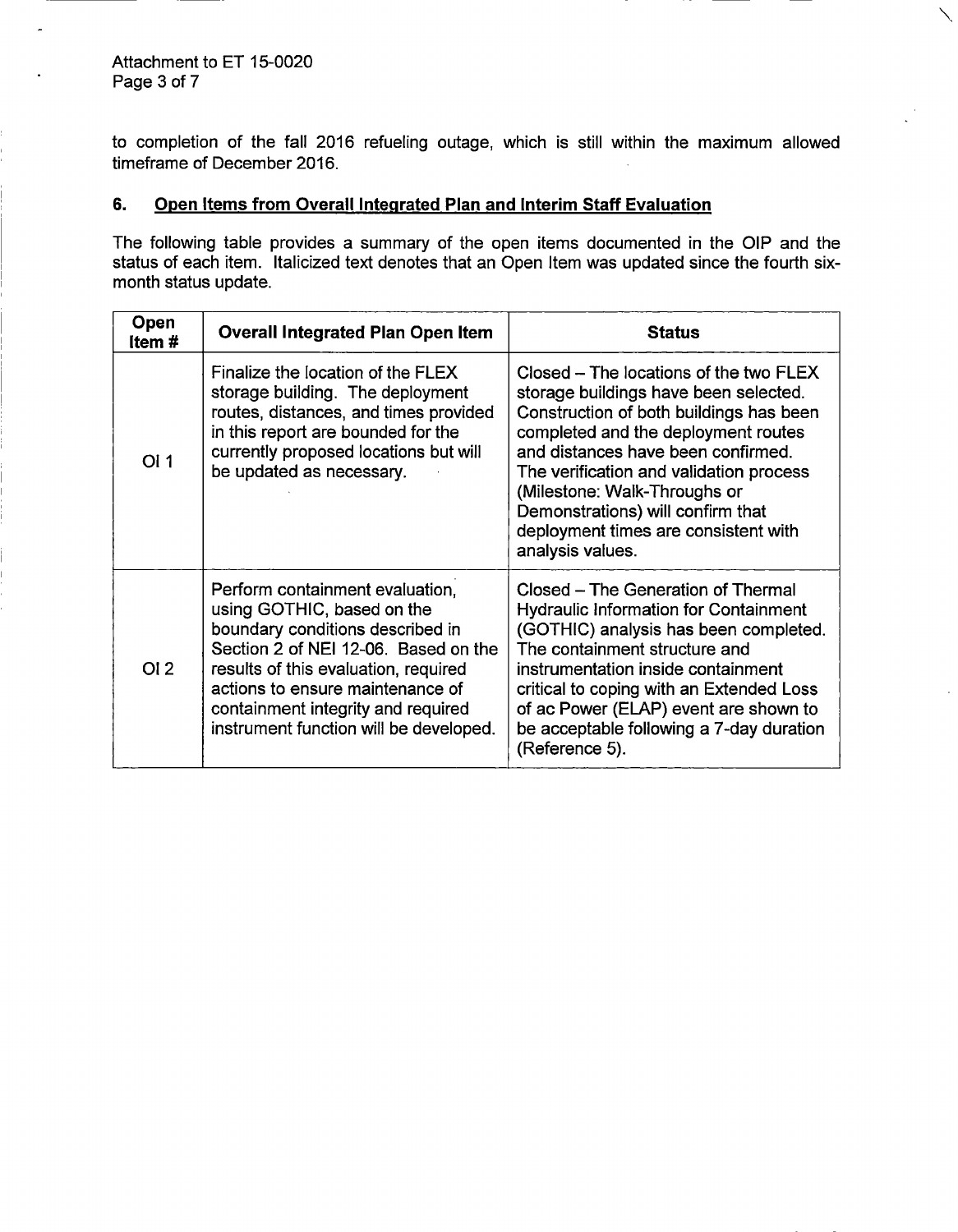$\overline{a}$ 

to completion of the fall 2016 refueling outage, which is still within the maximum allowed timeframe of December 2016.

## 6. Open Items from Overall Integrated Plan and Interim Staff Evaluation

The following table provides a summary of the open items documented in the OIP and the status of each item. Italicized text denotes that an Open Item was updated since the fourth sixmonth status update.

| Open<br>Item# | <b>Overall Integrated Plan Open Item</b>                                                                                                                                                                                                                                                              | <b>Status</b>                                                                                                                                                                                                                                                                                                                                                                       |
|---------------|-------------------------------------------------------------------------------------------------------------------------------------------------------------------------------------------------------------------------------------------------------------------------------------------------------|-------------------------------------------------------------------------------------------------------------------------------------------------------------------------------------------------------------------------------------------------------------------------------------------------------------------------------------------------------------------------------------|
| OI 1          | Finalize the location of the FLEX<br>storage building. The deployment<br>routes, distances, and times provided<br>in this report are bounded for the<br>currently proposed locations but will<br>be updated as necessary.                                                                             | Closed – The locations of the two FLEX<br>storage buildings have been selected.<br>Construction of both buildings has been<br>completed and the deployment routes<br>and distances have been confirmed.<br>The verification and validation process<br>(Milestone: Walk-Throughs or<br>Demonstrations) will confirm that<br>deployment times are consistent with<br>analysis values. |
| OI2           | Perform containment evaluation.<br>using GOTHIC, based on the<br>boundary conditions described in<br>Section 2 of NEI 12-06. Based on the<br>results of this evaluation, required<br>actions to ensure maintenance of<br>containment integrity and required<br>instrument function will be developed. | Closed - The Generation of Thermal<br><b>Hydraulic Information for Containment</b><br>(GOTHIC) analysis has been completed.<br>The containment structure and<br>instrumentation inside containment<br>critical to coping with an Extended Loss<br>of ac Power (ELAP) event are shown to<br>be acceptable following a 7-day duration<br>(Reference 5).                               |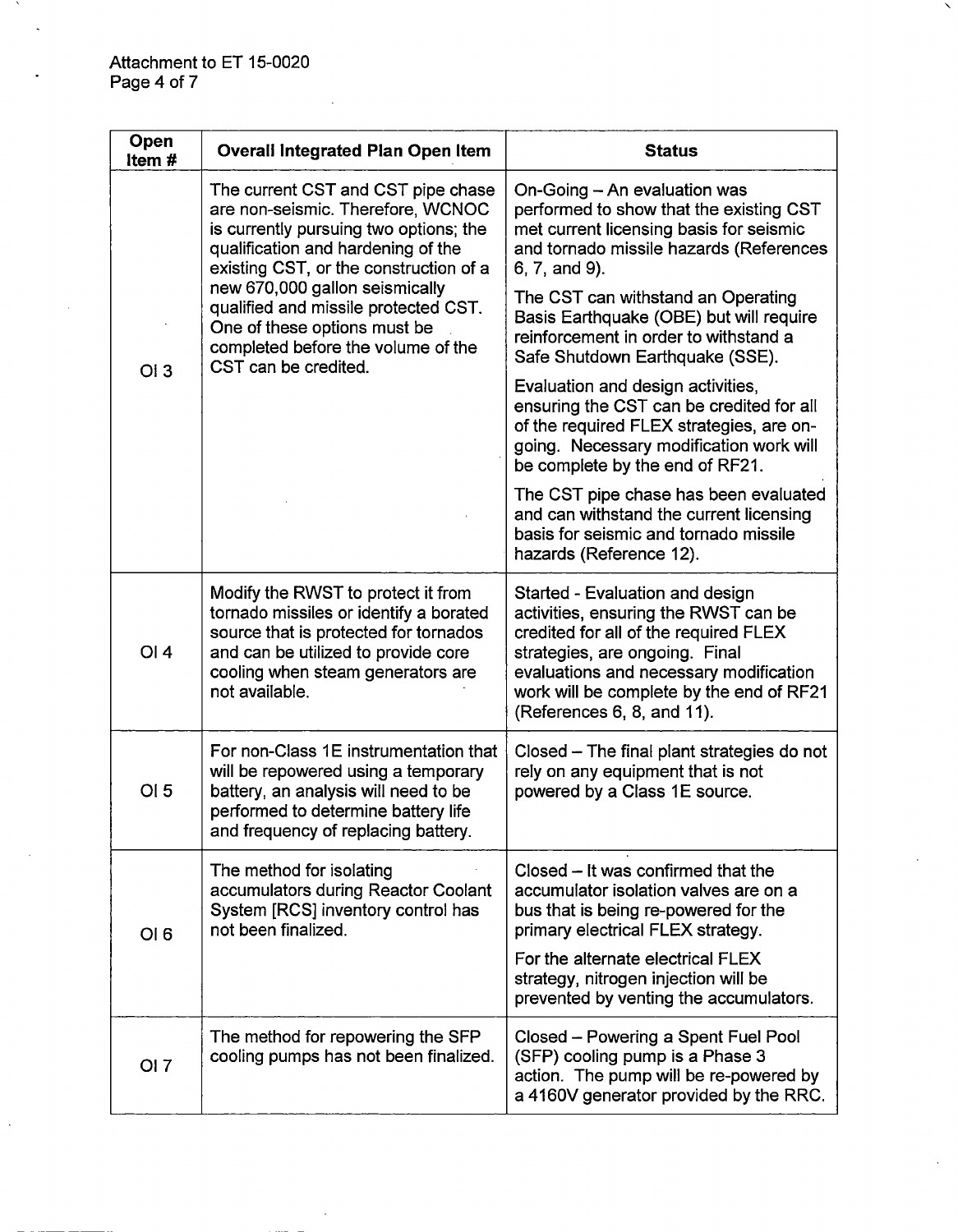ᅐ

l.

| Open<br>Item#   | <b>Overall Integrated Plan Open Item</b>                                                                                                                                                                                                                                                                                                                                  | <b>Status</b>                                                                                                                                                                                                                                                          |
|-----------------|---------------------------------------------------------------------------------------------------------------------------------------------------------------------------------------------------------------------------------------------------------------------------------------------------------------------------------------------------------------------------|------------------------------------------------------------------------------------------------------------------------------------------------------------------------------------------------------------------------------------------------------------------------|
| OI3             | The current CST and CST pipe chase<br>are non-seismic. Therefore, WCNOC<br>is currently pursuing two options; the<br>qualification and hardening of the<br>existing CST, or the construction of a<br>new 670,000 gallon seismically<br>qualified and missile protected CST.<br>One of these options must be<br>completed before the volume of the<br>CST can be credited. | On-Going - An evaluation was<br>performed to show that the existing CST<br>met current licensing basis for seismic<br>and tornado missile hazards (References<br>6, 7, and 9).                                                                                         |
|                 |                                                                                                                                                                                                                                                                                                                                                                           | The CST can withstand an Operating<br>Basis Earthquake (OBE) but will require<br>reinforcement in order to withstand a<br>Safe Shutdown Earthquake (SSE).                                                                                                              |
|                 |                                                                                                                                                                                                                                                                                                                                                                           | Evaluation and design activities,<br>ensuring the CST can be credited for all<br>of the required FLEX strategies, are on-<br>going. Necessary modification work will<br>be complete by the end of RF21.                                                                |
|                 |                                                                                                                                                                                                                                                                                                                                                                           | The CST pipe chase has been evaluated<br>and can withstand the current licensing<br>basis for seismic and tornado missile<br>hazards (Reference 12).                                                                                                                   |
| <b>OI4</b>      | Modify the RWST to protect it from<br>tornado missiles or identify a borated<br>source that is protected for tornados<br>and can be utilized to provide core<br>cooling when steam generators are<br>not available.                                                                                                                                                       | Started - Evaluation and design<br>activities, ensuring the RWST can be<br>credited for all of the required FLEX<br>strategies, are ongoing. Final<br>evaluations and necessary modification<br>work will be complete by the end of RF21<br>(References 6, 8, and 11). |
| OI <sub>5</sub> | For non-Class 1E instrumentation that<br>will be repowered using a temporary<br>battery, an analysis will need to be<br>performed to determine battery life<br>and frequency of replacing battery.                                                                                                                                                                        | Closed – The final plant strategies do not<br>rely on any equipment that is not<br>powered by a Class 1E source.                                                                                                                                                       |
| OI 6            | The method for isolating<br>accumulators during Reactor Coolant<br>System [RCS] inventory control has<br>not been finalized.                                                                                                                                                                                                                                              | Closed $-$ It was confirmed that the<br>accumulator isolation valves are on a<br>bus that is being re-powered for the<br>primary electrical FLEX strategy.                                                                                                             |
|                 |                                                                                                                                                                                                                                                                                                                                                                           | For the alternate electrical FLEX<br>strategy, nitrogen injection will be<br>prevented by venting the accumulators.                                                                                                                                                    |
| <b>OI</b> 7     | The method for repowering the SFP<br>cooling pumps has not been finalized.                                                                                                                                                                                                                                                                                                | Closed - Powering a Spent Fuel Pool<br>(SFP) cooling pump is a Phase 3<br>action. The pump will be re-powered by<br>a 4160V generator provided by the RRC.                                                                                                             |

╲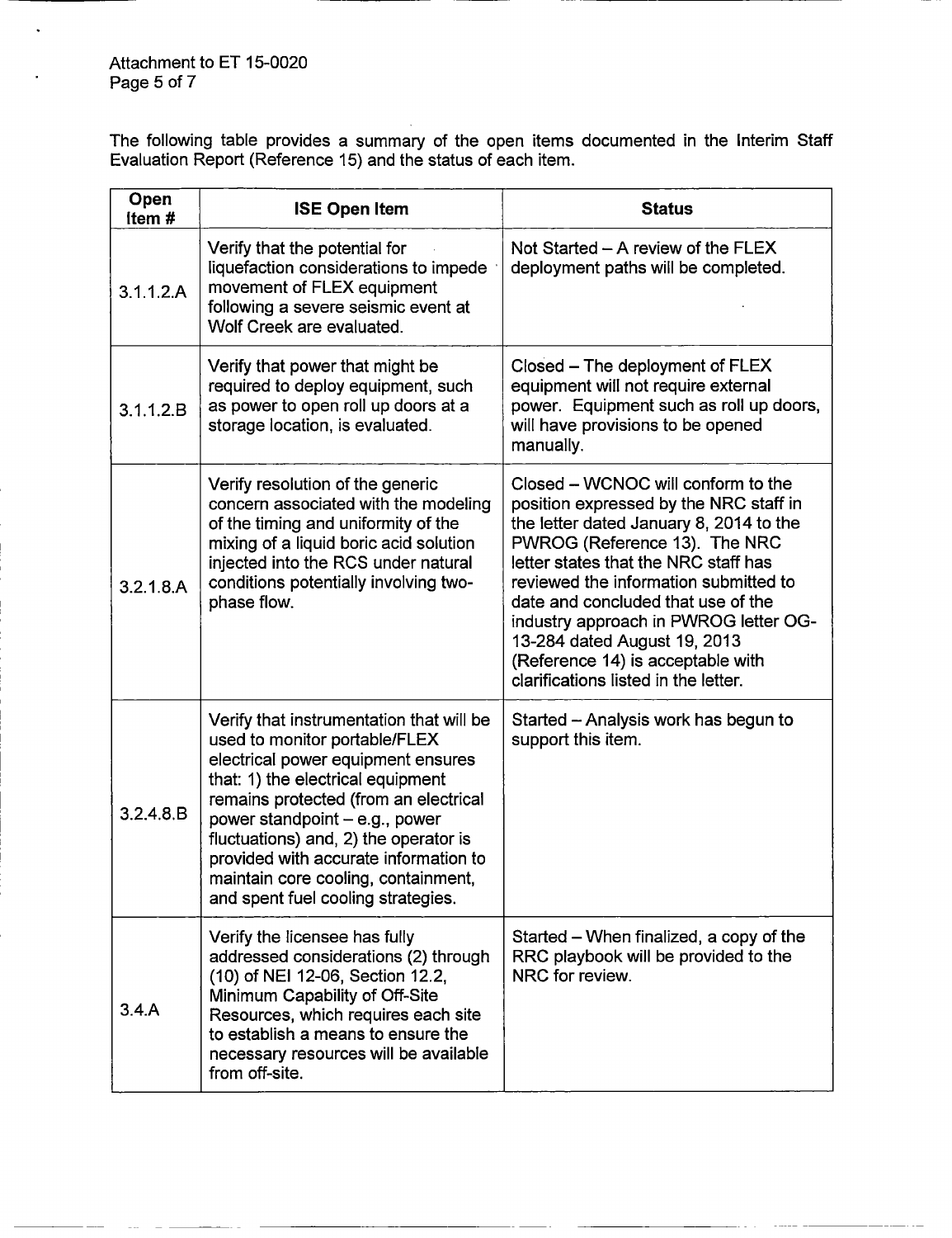The following table provides a summary of the open items documented in the Interim Staff Evaluation Report (Reference 15) and the status of each item.

| Open<br>Item# | <b>ISE Open Item</b>                                                                                                                                                                                                                                                                                                                                                                           | <b>Status</b>                                                                                                                                                                                                                                                                                                                                                                                                                         |
|---------------|------------------------------------------------------------------------------------------------------------------------------------------------------------------------------------------------------------------------------------------------------------------------------------------------------------------------------------------------------------------------------------------------|---------------------------------------------------------------------------------------------------------------------------------------------------------------------------------------------------------------------------------------------------------------------------------------------------------------------------------------------------------------------------------------------------------------------------------------|
| 3.1.1.2.A     | Verify that the potential for<br>liquefaction considerations to impede<br>movement of FLEX equipment<br>following a severe seismic event at<br>Wolf Creek are evaluated.                                                                                                                                                                                                                       | Not Started $-$ A review of the FLEX<br>deployment paths will be completed.                                                                                                                                                                                                                                                                                                                                                           |
| 3.1.1.2.B     | Verify that power that might be<br>required to deploy equipment, such<br>as power to open roll up doors at a<br>storage location, is evaluated.                                                                                                                                                                                                                                                | Closed - The deployment of FLEX<br>equipment will not require external<br>power. Equipment such as roll up doors,<br>will have provisions to be opened<br>manually.                                                                                                                                                                                                                                                                   |
| 3.2.1.8.A     | Verify resolution of the generic<br>concern associated with the modeling<br>of the timing and uniformity of the<br>mixing of a liquid boric acid solution<br>injected into the RCS under natural<br>conditions potentially involving two-<br>phase flow.                                                                                                                                       | Closed – WCNOC will conform to the<br>position expressed by the NRC staff in<br>the letter dated January 8, 2014 to the<br>PWROG (Reference 13). The NRC<br>letter states that the NRC staff has<br>reviewed the information submitted to<br>date and concluded that use of the<br>industry approach in PWROG letter OG-<br>13-284 dated August 19, 2013<br>(Reference 14) is acceptable with<br>clarifications listed in the letter. |
| 3.2.4.8.B     | Verify that instrumentation that will be<br>used to monitor portable/FLEX<br>electrical power equipment ensures<br>that: 1) the electrical equipment<br>remains protected (from an electrical<br>power standpoint - e.g., power<br>fluctuations) and, 2) the operator is<br>provided with accurate information to<br>maintain core cooling, containment,<br>and spent fuel cooling strategies. | Started - Analysis work has begun to<br>support this item.                                                                                                                                                                                                                                                                                                                                                                            |
| 3.4.A         | Verify the licensee has fully<br>addressed considerations (2) through<br>(10) of NEI 12-06, Section 12.2,<br>Minimum Capability of Off-Site<br>Resources, which requires each site<br>to establish a means to ensure the<br>necessary resources will be available<br>from off-site.                                                                                                            | Started – When finalized, a copy of the<br>RRC playbook will be provided to the<br>NRC for review.                                                                                                                                                                                                                                                                                                                                    |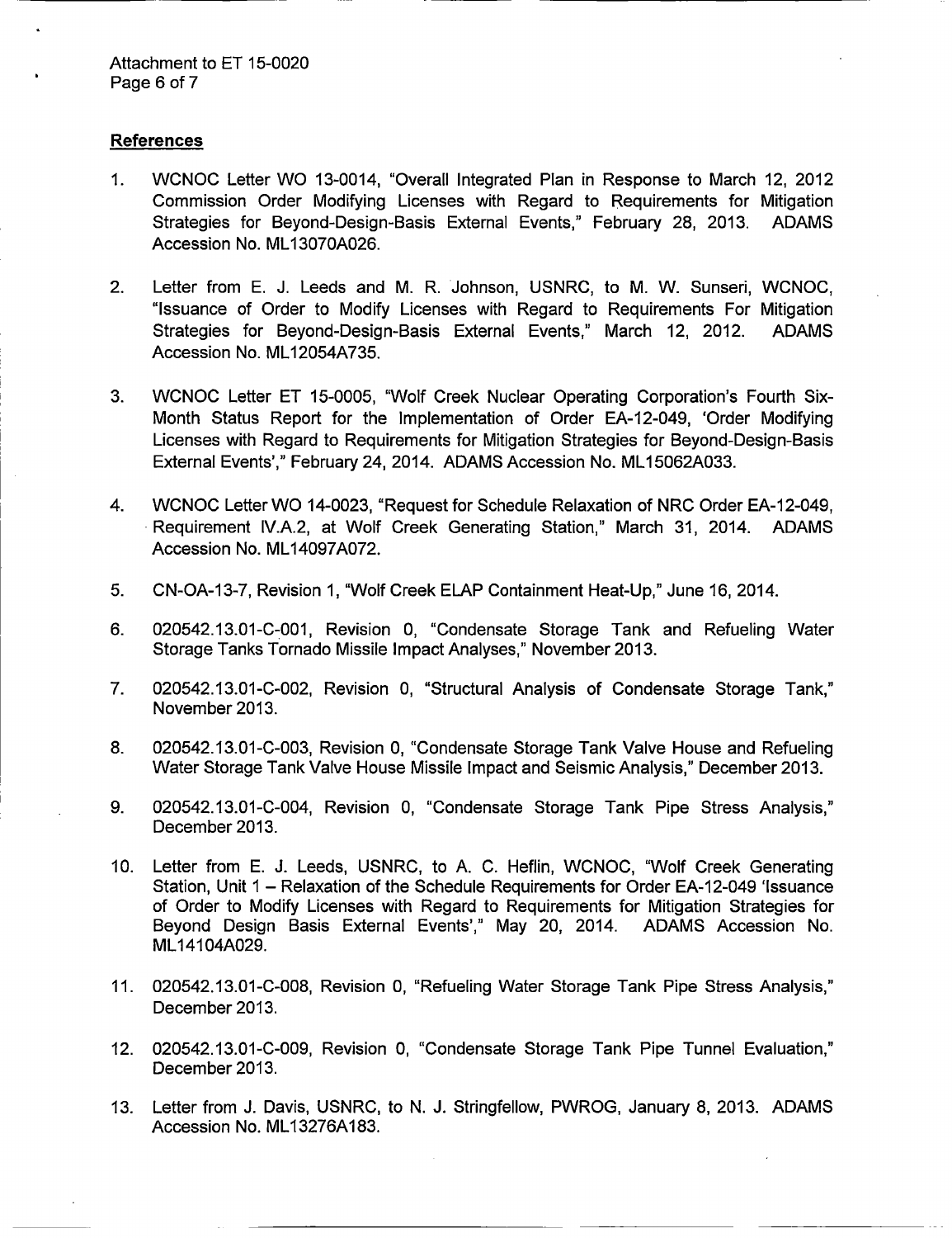#### **References**

- 1. WCNOC Letter WO 13-0014, "Overall Integrated Plan in Response to March 12, 2012 Commission Order Modifying Licenses with Regard to Requirements for Mitigation Strategies for Beyond-Design-Basis External Events," February 28, 2013. ADAMS Accession No. ML13070A026.
- 2. Letter from E. J. Leeds and M. R. Johnson, USNRC, to M. W. Sunseri, WCNOC, "Issuance of Order to Modify Licenses with Regard to Requirements For Mitigation Strategies for Beyond-Design-Basis External Events," March 12, 2012. ADAMS Accession No. ML12054A735.
- 3. WCNOC Letter ET 15-0005, "Wolf Creek Nuclear Operating Corporation's Fourth Six-Month Status Report for the Implementation of Order EA-12-049, 'Order Modifying Licenses with Regard to Requirements for Mitigation Strategies for Beyond-Design-Basis External Events'," February 24, 2014. ADAMS Accession No. ML15062A033.
- 4. WCNOC Letter WO 14-0023, "Request for Schedule Relaxation of NRC Order EA-12-049, Requirement IV.A.2, at Wolf Creek Generating Station," March 31, 2014. ADAMS Accession No. ML14097A072.
- 5. CN-OA-13-7, Revision 1, "Wolf Creek ELAP Containment Heat-Up," June 16, 2014.
- 6. 020542.13.01-C-001, Revision 0, "Condensate Storage Tank and Refueling Water Storage Tanks Tornado Missile Impact Analyses," November 2013.
- 7. 020542.13.01-C-002, Revision 0, "Structural Analysis of Condensate Storage Tank," November 2013.
- 8. 020542.13.01-C-003, Revision 0, "Condensate Storage Tank Valve House and Refueling Water Storage Tank Valve House Missile Impact and Seismic Analysis," December 2013.
- 9. 020542.13.01-C-004, Revision 0, "Condensate Storage Tank Pipe Stress Analysis," December 2013.
- *10.* Letter from E. J. Leeds, USNRC, to A. C. Heflin, WCNOC, "Wolf Creek Generating Station, Unit 1 - Relaxation of the Schedule Requirements for Order EA-12-049 'Issuance of Order to Modify Licenses with Regard to Requirements for Mitigation Strategies for Beyond Design Basis External Events'," May 20, 2014. ADAMS Accession No. ML14104A029.
- 11. 020542.13.01-C-008, Revision 0, "Refueling Water Storage Tank Pipe Stress Analysis," December 2013.
- 12. 020542.13.01-C-009, Revision 0, "Condensate Storage Tank Pipe Tunnel Evaluation," December 2013.
- 13. Letter from J. Davis, USNRC, to N. J. Stringfellow, PWROG, January 8, 2013. ADAMS Accession No. ML13276A183.